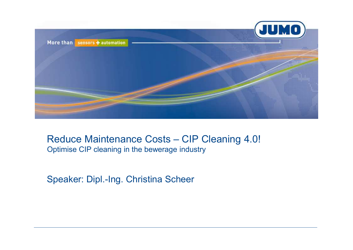

#### Reduce Maintenance Costs – CIP Cleaning 4.0! Optimise CIP cleaning in the bewerage industry

Speaker: Dipl.-Ing. Christina Scheer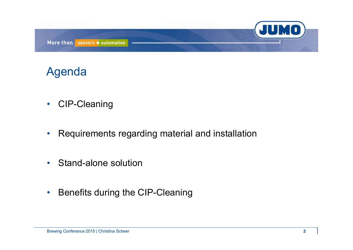

## Agenda

- $\bullet$ CIP-Cleaning
- •Requirements regarding material and installation
- •Stand-alone solution
- $\bullet$ Benefits during the CIP-Cleaning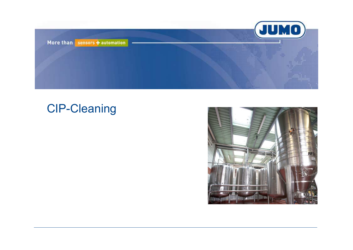

## CIP-Cleaning

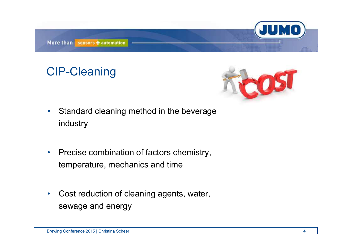

## CIP-Cleaning



- • Standard cleaning method in the beverage industry
- • Precise combination of factors chemistry, temperature, mechanics and time
- $\bullet$  Cost reduction of cleaning agents, water, sewage and energy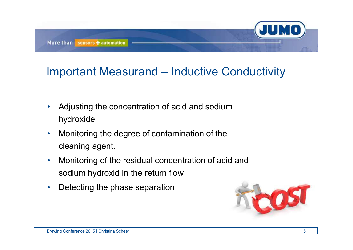

## Important Measurand – Inductive Conductivity

- • Adjusting the concentration of acid and sodium hydroxide
- $\bullet$  Monitoring the degree of contamination of the cleaning agent.
- • Monitoring of the residual concentration of acid and sodium hydroxid in the return flow
- •Detecting the phase separation

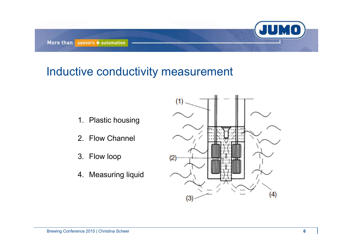

#### Inductive conductivity measurement

- 1. Plastic housing
- 2. Flow Channel
- 3. Flow loop
- 4. Measuring liquid

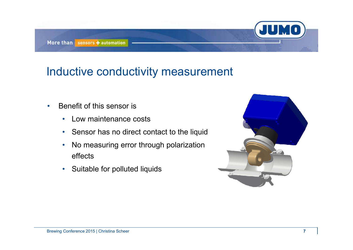#### Inductive conductivity measurement

- • Benefit of this sensor is
	- $\bullet$ Low maintenance costs
	- Sensor has no direct contact to the liquid
	- $\bullet$  No measuring error through polarization effects
	- Suitable for polluted liquids

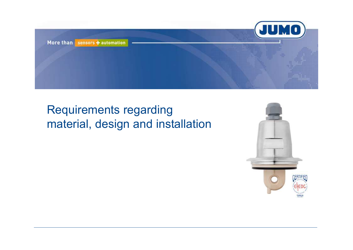

# Requirements regarding material, design and installation

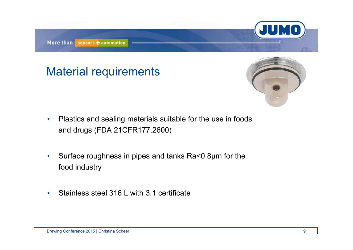#### Material requirements



- $\bullet$  Plastics and sealing materials suitable for the use in foods and drugs (FDA 21CFR177.2600)
- $\bullet$  Surface roughness in pipes and tanks Ra<0,8µm for the food industry
- •Stainless steel 316 L with 3.1 certificate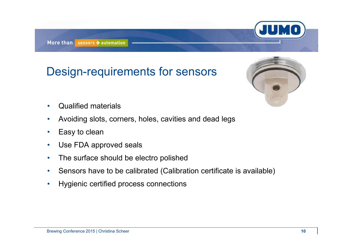## Design-requirements for sensors



- $\bullet$ Qualified materials
- $\bullet$ Avoiding slots, corners, holes, cavities and dead legs
- •Easy to clean
- •Use FDA approved seals
- $\bullet$ The surface should be electro polished
- •Sensors have to be calibrated (Calibration certificate is available)
- •Hygienic certified process connections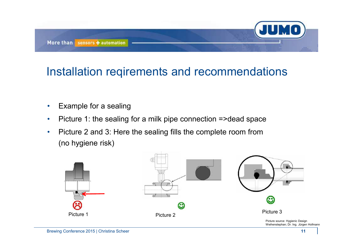

## Installation reqirements and recommendations

- $\bullet$ Example for a sealing
- •Picture 1: the sealing for a milk pipe connection =>dead space
- • Picture 2 and 3: Here the sealing fills the complete room from (no hygiene risk)

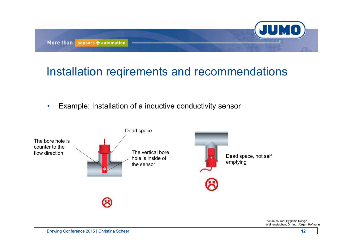

### Installation reqirements and recommendations

 $\bullet$ Example: Installation of a inductive conductivity sensor



Picture source: Hygienic Design Weihenstephan; Dr. Ing. Jürgen Hofmann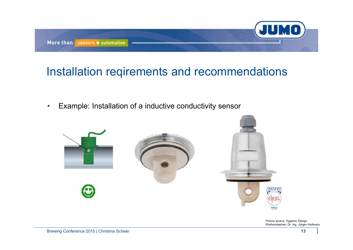

#### Installation reqirements and recommendations

•Example: Installation of a inductive conductivity sensor



Picture source: Hygienic Design Weihenstephan; Dr. Ing. Jürgen Hofmann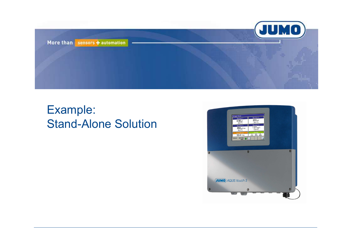

# Example: Stand-Alone Solution

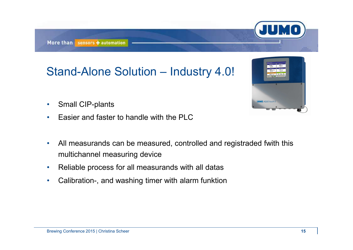# Stand-Alone Solution – Industry 4.0!

- •Small CIP-plants
- •Easier and faster to handle with the PLC
- $\bullet$  All measurands can be measured, controlled and registraded fwith this multichannel measuring device
- $\bullet$ Reliable process for all measurands with all datas
- •Calibration-, and washing timer with alarm funktion



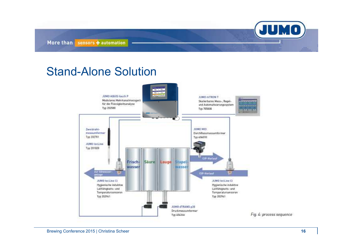JUMO More than sensors + automation

#### Stand-Alone Solution

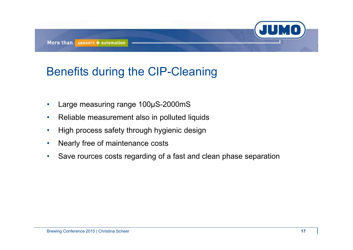## Benefits during the CIP-Cleaning

- •Large measuring range 100µS-2000mS
- $\bullet$ Reliable measurement also in polluted liquids
- $\bullet$ High process safety through hygienic design
- $\bullet$ Nearly free of maintenance costs
- $\bullet$ Save rources costs regarding of a fast and clean phase separation